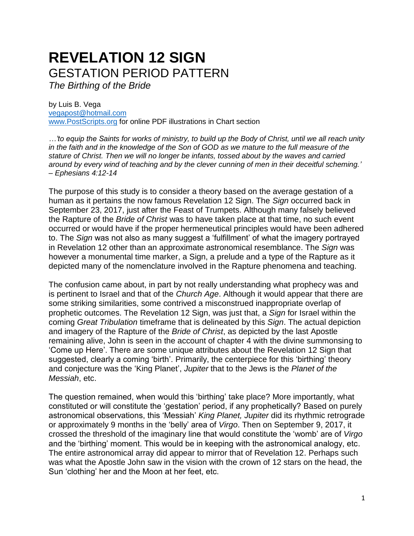# **REVELATION 12 SIGN** GESTATION PERIOD PATTERN

*The Birthing of the Bride*

by Luis B. Vega [vegapost@hotmail.com](mailto:vegapost@hotmail.com) [www.PostScripts.org](http://www.postscripts.org/) for online PDF illustrations in Chart section

*…'to equip the Saints for works of ministry, to build up the Body of Christ, until we all reach unity in the faith and in the knowledge of the Son of GOD as we mature to the full measure of the stature of Christ. Then we will no longer be infants, tossed about by the waves and carried around by every wind of teaching and by the clever cunning of men in their deceitful scheming.' – Ephesians 4:12-14*

The purpose of this study is to consider a theory based on the average gestation of a human as it pertains the now famous Revelation 12 Sign. The *Sign* occurred back in September 23, 2017, just after the Feast of Trumpets. Although many falsely believed the Rapture of the *Bride of Christ* was to have taken place at that time, no such event occurred or would have if the proper hermeneutical principles would have been adhered to. The *Sign* was not also as many suggest a 'fulfillment' of what the imagery portrayed in Revelation 12 other than an approximate astronomical resemblance. The *Sign* was however a monumental time marker, a Sign, a prelude and a type of the Rapture as it depicted many of the nomenclature involved in the Rapture phenomena and teaching.

The confusion came about, in part by not really understanding what prophecy was and is pertinent to Israel and that of the *Church Age*. Although it would appear that there are some striking similarities, some contrived a misconstrued inappropriate overlap of prophetic outcomes. The Revelation 12 Sign, was just that, a *Sign* for Israel within the coming *Great Tribulation* timeframe that is delineated by this *Sign*. The actual depiction and imagery of the Rapture of the *Bride of Christ*, as depicted by the last Apostle remaining alive, John is seen in the account of chapter 4 with the divine summonsing to 'Come up Here'. There are some unique attributes about the Revelation 12 Sign that suggested, clearly a coming 'birth'. Primarily, the centerpiece for this 'birthing' theory and conjecture was the 'King Planet', *Jupiter* that to the Jews is the *Planet of the Messiah*, etc.

The question remained, when would this 'birthing' take place? More importantly, what constituted or will constitute the 'gestation' period, if any prophetically? Based on purely astronomical observations, this 'Messiah' *King Planet, Jupiter* did its rhythmic retrograde or approximately 9 months in the 'belly' area of *Virgo*. Then on September 9, 2017, it crossed the threshold of the imaginary line that would constitute the 'womb' are of *Virgo* and the 'birthing' moment. This would be in keeping with the astronomical analogy, etc. The entire astronomical array did appear to mirror that of Revelation 12. Perhaps such was what the Apostle John saw in the vision with the crown of 12 stars on the head, the Sun 'clothing' her and the Moon at her feet, etc.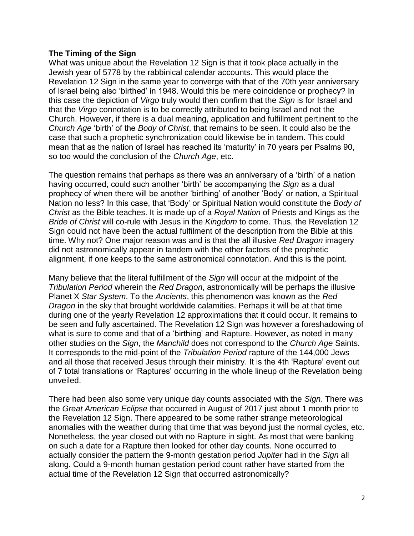### **The Timing of the Sign**

What was unique about the Revelation 12 Sign is that it took place actually in the Jewish year of 5778 by the rabbinical calendar accounts. This would place the Revelation 12 Sign in the same year to converge with that of the 70th year anniversary of Israel being also 'birthed' in 1948. Would this be mere coincidence or prophecy? In this case the depiction of *Virgo* truly would then confirm that the *Sign* is for Israel and that the *Virgo* connotation is to be correctly attributed to being Israel and not the Church. However, if there is a dual meaning, application and fulfillment pertinent to the *Church Age* 'birth' of the *Body of Christ*, that remains to be seen. It could also be the case that such a prophetic synchronization could likewise be in tandem. This could mean that as the nation of Israel has reached its 'maturity' in 70 years per Psalms 90, so too would the conclusion of the *Church Age*, etc.

The question remains that perhaps as there was an anniversary of a 'birth' of a nation having occurred, could such another 'birth' be accompanying the *Sign* as a dual prophecy of when there will be another 'birthing' of another 'Body' or nation, a Spiritual Nation no less? In this case, that 'Body' or Spiritual Nation would constitute the *Body of Christ* as the Bible teaches. It is made up of a *Royal Nation* of Priests and Kings as the *Bride of Christ* will co-rule with Jesus in the *Kingdom* to come. Thus, the Revelation 12 Sign could not have been the actual fulfilment of the description from the Bible at this time. Why not? One major reason was and is that the all illusive *Red Dragon* imagery did not astronomically appear in tandem with the other factors of the prophetic alignment, if one keeps to the same astronomical connotation. And this is the point.

Many believe that the literal fulfillment of the *Sign* will occur at the midpoint of the *Tribulation Period* wherein the *Red Dragon*, astronomically will be perhaps the illusive Planet X *Star System*. To the *Ancients*, this phenomenon was known as the *Red Dragon* in the sky that brought worldwide calamities. Perhaps it will be at that time during one of the yearly Revelation 12 approximations that it could occur. It remains to be seen and fully ascertained. The Revelation 12 Sign was however a foreshadowing of what is sure to come and that of a 'birthing' and Rapture. However, as noted in many other studies on the *Sign*, the *Manchild* does not correspond to the *Church Age* Saints. It corresponds to the mid-point of the *Tribulation Period* rapture of the 144,000 Jews and all those that received Jesus through their ministry. It is the 4th 'Rapture' event out of 7 total translations or 'Raptures' occurring in the whole lineup of the Revelation being unveiled.

There had been also some very unique day counts associated with the *Sign*. There was the *Great American Eclipse* that occurred in August of 2017 just about 1 month prior to the Revelation 12 Sign. There appeared to be some rather strange meteorological anomalies with the weather during that time that was beyond just the normal cycles, etc. Nonetheless, the year closed out with no Rapture in sight. As most that were banking on such a date for a Rapture then looked for other day counts. None occurred to actually consider the pattern the 9-month gestation period *Jupiter* had in the *Sign* all along. Could a 9-month human gestation period count rather have started from the actual time of the Revelation 12 Sign that occurred astronomically?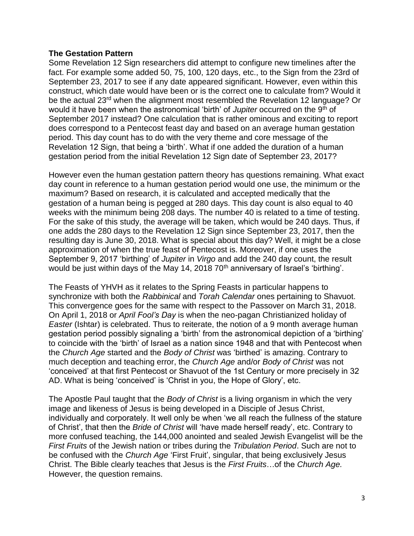### **The Gestation Pattern**

Some Revelation 12 Sign researchers did attempt to configure new timelines after the fact. For example some added 50, 75, 100, 120 days, etc., to the Sign from the 23rd of September 23, 2017 to see if any date appeared significant. However, even within this construct, which date would have been or is the correct one to calculate from? Would it be the actual 23<sup>rd</sup> when the alignment most resembled the Revelation 12 language? Or would it have been when the astronomical 'birth' of *Jupiter* occurred on the 9th of September 2017 instead? One calculation that is rather ominous and exciting to report does correspond to a Pentecost feast day and based on an average human gestation period. This day count has to do with the very theme and core message of the Revelation 12 Sign, that being a 'birth'. What if one added the duration of a human gestation period from the initial Revelation 12 Sign date of September 23, 2017?

However even the human gestation pattern theory has questions remaining. What exact day count in reference to a human gestation period would one use, the minimum or the maximum? Based on research, it is calculated and accepted medically that the gestation of a human being is pegged at 280 days. This day count is also equal to 40 weeks with the minimum being 208 days. The number 40 is related to a time of testing. For the sake of this study, the average will be taken, which would be 240 days. Thus, if one adds the 280 days to the Revelation 12 Sign since September 23, 2017, then the resulting day is June 30, 2018. What is special about this day? Well, it might be a close approximation of when the true feast of Pentecost is. Moreover, if one uses the September 9, 2017 'birthing' of *Jupiter* in *Virgo* and add the 240 day count, the result would be just within days of the May 14, 2018  $70<sup>th</sup>$  anniversary of Israel's 'birthing'.

The Feasts of YHVH as it relates to the Spring Feasts in particular happens to synchronize with both the *Rabbinical* and *Torah Calendar* ones pertaining to Shavuot. This convergence goes for the same with respect to the Passover on March 31, 2018. On April 1, 2018 or *April Fool's Day* is when the neo-pagan Christianized holiday of *Easter* (Ishtar) is celebrated. Thus to reiterate, the notion of a 9 month average human gestation period possibly signaling a 'birth' from the astronomical depiction of a 'birthing' to coincide with the 'birth' of Israel as a nation since 1948 and that with Pentecost when the *Church Age* started and the *Body of Christ* was 'birthed' is amazing. Contrary to much deception and teaching error, the *Church Age* and/or *Body of Christ* was not 'conceived' at that first Pentecost or Shavuot of the 1st Century or more precisely in 32 AD. What is being 'conceived' is 'Christ in you, the Hope of Glory', etc.

The Apostle Paul taught that the *Body of Christ* is a living organism in which the very image and likeness of Jesus is being developed in a Disciple of Jesus Christ, individually and corporately. It well only be when 'we all reach the fullness of the stature of Christ', that then the *Bride of Christ* will 'have made herself ready', etc. Contrary to more confused teaching, the 144,000 anointed and sealed Jewish Evangelist will be the *First Fruits* of the Jewish nation or tribes during the *Tribulation Period*. Such are not to be confused with the *Church Age* 'First Fruit', singular, that being exclusively Jesus Christ. The Bible clearly teaches that Jesus is the *First Fruits*…of the *Church Age.* However, the question remains.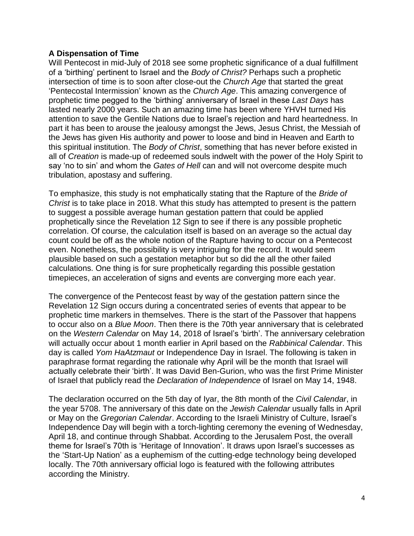## **A Dispensation of Time**

Will Pentecost in mid-July of 2018 see some prophetic significance of a dual fulfillment of a 'birthing' pertinent to Israel and the *Body of Christ?* Perhaps such a prophetic intersection of time is to soon after close-out the *Church Age* that started the great 'Pentecostal Intermission' known as the *Church Age*. This amazing convergence of prophetic time pegged to the 'birthing' anniversary of Israel in these *Last Days* has lasted nearly 2000 years. Such an amazing time has been where YHVH turned His attention to save the Gentile Nations due to Israel's rejection and hard heartedness. In part it has been to arouse the jealousy amongst the Jews, Jesus Christ, the Messiah of the Jews has given His authority and power to loose and bind in Heaven and Earth to this spiritual institution. The *Body of Christ*, something that has never before existed in all of *Creation* is made-up of redeemed souls indwelt with the power of the Holy Spirit to say 'no to sin' and whom the *Gates of Hell* can and will not overcome despite much tribulation, apostasy and suffering.

To emphasize, this study is not emphatically stating that the Rapture of the *Bride of Christ* is to take place in 2018. What this study has attempted to present is the pattern to suggest a possible average human gestation pattern that could be applied prophetically since the Revelation 12 Sign to see if there is any possible prophetic correlation. Of course, the calculation itself is based on an average so the actual day count could be off as the whole notion of the Rapture having to occur on a Pentecost even. Nonetheless, the possibility is very intriguing for the record. It would seem plausible based on such a gestation metaphor but so did the all the other failed calculations. One thing is for sure prophetically regarding this possible gestation timepieces, an acceleration of signs and events are converging more each year.

The convergence of the Pentecost feast by way of the gestation pattern since the Revelation 12 Sign occurs during a concentrated series of events that appear to be prophetic time markers in themselves. There is the start of the Passover that happens to occur also on a *Blue Moon*. Then there is the 70th year anniversary that is celebrated on the *Western Calendar* on May 14, 2018 of Israel's 'birth'. The anniversary celebration will actually occur about 1 month earlier in April based on the *Rabbinical Calendar*. This day is called *Yom HaAtzmaut* or Independence Day in Israel. The following is taken in paraphrase format regarding the rationale why April will be the month that Israel will actually celebrate their 'birth'. It was David Ben-Gurion, who was the first Prime Minister of Israel that publicly read the *Declaration of Independence* of Israel on May 14, 1948.

The declaration occurred on the 5th day of Iyar, the 8th month of the *Civil Calendar*, in the year 5708. The anniversary of this date on the *Jewish Calendar* usually falls in April or May on the *Gregorian Calendar*. According to the Israeli Ministry of Culture, Israel's Independence Day will begin with a torch-lighting ceremony the evening of Wednesday, April 18, and continue through Shabbat. According to the Jerusalem Post, the overall theme for Israel's 70th is 'Heritage of Innovation'. It draws upon Israel's successes as the 'Start-Up Nation' as a euphemism of the cutting-edge technology being developed locally. The 70th anniversary official logo is featured with the following attributes according the Ministry.